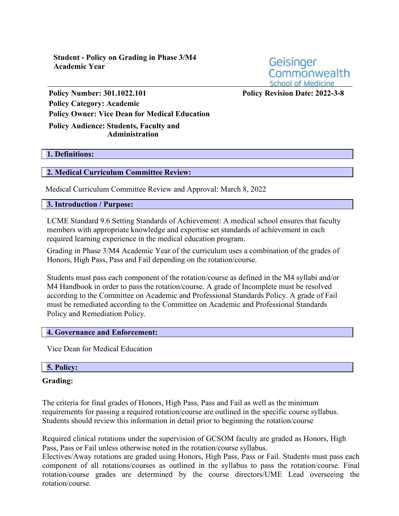**Student - Policy on Grading in Phase 3/M4 Academic Year**

Geisinger Commonwealth **School of Medicine** 

**Policy Number: 301.1022.101 Policy Revision Date: 2022-3-8 Policy Category: Academic Policy Owner: Vice Dean for Medical Education Policy Audience: Students, Faculty and Administration**

# **1. Definitions:**

### **2. Medical Curriculum Committee Review:**

Medical Curriculum Committee Review and Approval: March 8, 2022

### **3. Introduction / Purpose:**

LCME Standard 9.6 Setting Standards of Achievement: A medical school ensures that faculty members with appropriate knowledge and expertise set standards of achievement in each required learning experience in the medical education program.

Grading in Phase 3/M4 Academic Year of the curriculum uses a combination of the grades of Honors, High Pass, Pass and Fail depending on the rotation/course.

Students must pass each component of the rotation/course as defined in the M4 syllabi and/or M4 Handbook in order to pass the rotation/course. A grade of Incomplete must be resolved according to the Committee on Academic and Professional Standards Policy. A grade of Fail must be remediated according to the Committee on Academic and Professional Standards Policy and Remediation Policy.

#### **4. Governance and Enforcement:**

Vice Dean for Medical Education

### **5. Policy:**

#### **Grading:**

The criteria for final grades of Honors, High Pass, Pass and Fail as well as the minimum requirements for passing a required rotation/course are outlined in the specific course syllabus. Students should review this information in detail prior to beginning the rotation/course

Required clinical rotations under the supervision of GCSOM faculty are graded as Honors, High Pass, Pass or Fail unless otherwise noted in the rotation/course syllabus.

Electives/Away rotations are graded using Honors, High Pass, Pass or Fail. Students must pass each component of all rotations/courses as outlined in the syllabus to pass the rotation/course. Final rotation/course grades are determined by the course directors/UME Lead overseeing the rotation/course.